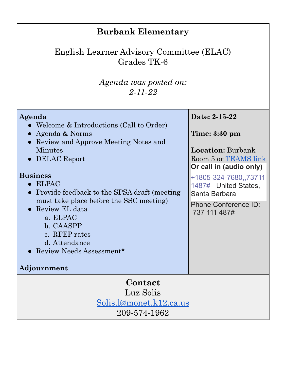| <b>Burbank Elementary</b>                                                                                                                                                                                                                                                                                                                                                                             |                                                                                                                                                                                                                                          |  |
|-------------------------------------------------------------------------------------------------------------------------------------------------------------------------------------------------------------------------------------------------------------------------------------------------------------------------------------------------------------------------------------------------------|------------------------------------------------------------------------------------------------------------------------------------------------------------------------------------------------------------------------------------------|--|
| English Learner Advisory Committee (ELAC)<br>Grades TK-6                                                                                                                                                                                                                                                                                                                                              |                                                                                                                                                                                                                                          |  |
| Agenda was posted on:<br>$2 - 11 - 22$                                                                                                                                                                                                                                                                                                                                                                |                                                                                                                                                                                                                                          |  |
| Agenda<br>• Welcome & Introductions (Call to Order)<br>• Agenda & Norms<br>• Review and Approve Meeting Notes and<br>Minutes<br>• DELAC Report<br><b>Business</b><br><b>ELPAC</b><br>Provide feedback to the SPSA draft (meeting<br>must take place before the SSC meeting)<br>Review EL data<br>a. ELPAC<br>b. CAASPP<br>c. RFEP rates<br>d. Attendance<br>• Review Needs Assessment*<br>Adjournment | Date: 2-15-22<br>Time: $3:30 \text{ pm}$<br><b>Location:</b> Burbank<br>Room 5 or TEAMS link<br>Or call in (audio only)<br>+1805-324-7680,,73711<br>1487# United States,<br>Santa Barbara<br><b>Phone Conference ID:</b><br>737 111 487# |  |
| Contact                                                                                                                                                                                                                                                                                                                                                                                               |                                                                                                                                                                                                                                          |  |
| Luz Solis                                                                                                                                                                                                                                                                                                                                                                                             |                                                                                                                                                                                                                                          |  |
| <u>Solis.l@monet.k12.ca.us</u>                                                                                                                                                                                                                                                                                                                                                                        |                                                                                                                                                                                                                                          |  |
| 209-574-1962                                                                                                                                                                                                                                                                                                                                                                                          |                                                                                                                                                                                                                                          |  |